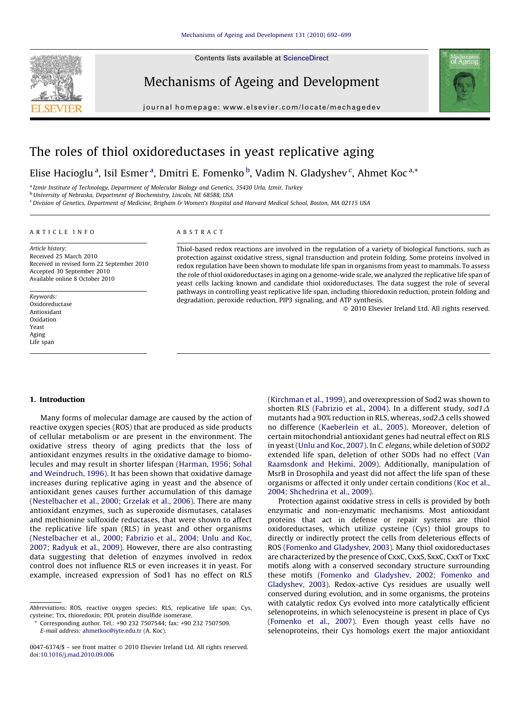Contents lists available at [ScienceDirect](http://www.sciencedirect.com/science/journal/00476374)



Mechanisms of Ageing and Development

journal homepage: www.elsevier.com/locate/mechagedev



# The roles of thiol oxidoreductases in yeast replicative aging

Elise Hacioglu<sup>a</sup>, Isil Esmer<sup>a</sup>, Dmitri E. Fomenko<sup>b</sup>, Vadim N. Gladyshev<sup>c</sup>, Ahmet Koc<sup>a,\*</sup>

<sup>a</sup> Izmir Institute of Technology, Department of Molecular Biology and Genetics, 35430 Urla, Izmir, Turkey <sup>b</sup>University of Nebraska, Department of Biochemistry, Lincoln, NE 68588, USA

<sup>c</sup> Division of Genetics, Department of Medicine, Brigham & Women's Hospital and Harvard Medical School, Boston, MA 02115 USA

# ARTICLE INFO

## ABSTRACT

Article history: Received 25 March 2010 Received in revised form 22 September 2010 Accepted 30 September 2010 Available online 8 October 2010

Keywords: Oxidoreductase Antioxidant Oxidation Yeast Aging Life span

Thiol-based redox reactions are involved in the regulation of a variety of biological functions, such as protection against oxidative stress, signal transduction and protein folding. Some proteins involved in redox regulation have been shown to modulate life span in organisms from yeast to mammals. To assess the role of thiol oxidoreductases in aging on a genome-wide scale, we analyzed the replicative life span of yeast cells lacking known and candidate thiol oxidoreductases. The data suggest the role of several pathways in controlling yeast replicative life span, including thioredoxin reduction, protein folding and degradation, peroxide reduction, PIP3 signaling, and ATP synthesis.

- 2010 Elsevier Ireland Ltd. All rights reserved.

# 1. Introduction

Many forms of molecular damage are caused by the action of reactive oxygen species (ROS) that are produced as side products of cellular metabolism or are present in the environment. The oxidative stress theory of aging predicts that the loss of antioxidant enzymes results in the oxidative damage to biomolecules and may result in shorter lifespan [\(Harman, 1956; Sohal](#page-6-0) [and Weindruch, 1996\)](#page-6-0). It has been shown that oxidative damage increases during replicative aging in yeast and the absence of antioxidant genes causes further accumulation of this damage ([Nestelbacher et al., 2000; Grzelak et al., 2006](#page-6-0)). There are many antioxidant enzymes, such as superoxide dismutases, catalases and methionine sulfoxide reductases, that were shown to affect the replicative life span (RLS) in yeast and other organisms ([Nestelbacher et al., 2000; Fabrizio et al., 2004; Unlu and Koc,](#page-6-0) [2007; Radyuk et al., 2009](#page-6-0)). However, there are also contrasting data suggesting that deletion of enzymes involved in redox control does not influence RLS or even increases it in yeast. For example, increased expression of Sod1 has no effect on RLS

([Kirchman et al., 1999](#page-6-0)), and overexpression of Sod2 was shown to shorten RLS [\(Fabrizio et al., 2004](#page-6-0)). In a different study, sod1 $\Delta$ mutants had a 90% reduction in RLS, whereas, sod $2\Delta$  cells showed no difference ([Kaeberlein et al., 2005](#page-6-0)). Moreover, deletion of certain mitochondrial antioxidant genes had neutral effect on RLS in yeast [\(Unlu and Koc, 2007](#page-7-0)). In C. elegans, while deletion of SOD2 extended life span, deletion of other SODs had no effect ([Van](#page-7-0) [Raamsdonk and Hekimi, 2009](#page-7-0)). Additionally, manipulation of MsrB in Drosophila and yeast did not affect the life span of these organisms or affected it only under certain conditions ([Koc et al.,](#page-6-0) [2004; Shchedrina et al., 2009](#page-6-0)).

Protection against oxidative stress in cells is provided by both enzymatic and non-enzymatic mechanisms. Most antioxidant proteins that act in defense or repair systems are thiol oxidoreductases, which utilize cysteine (Cys) thiol groups to directly or indirectly protect the cells from deleterious effects of ROS [\(Fomenko and Gladyshev, 2003](#page-6-0)). Many thiol oxidoreductases are characterized by the presence of CxxC, CxxS, SxxC, CxxT or TxxC motifs along with a conserved secondary structure surrounding these motifs [\(Fomenko and Gladyshev, 2002; Fomenko and](#page-6-0) [Gladyshev, 2003](#page-6-0)). Redox-active Cys residues are usually well conserved during evolution, and in some organisms, the proteins with catalytic redox Cys evolved into more catalytically efficient selenoproteins, in which selenocysteine is present in place of Cys ([Fomenko et al., 2007](#page-6-0)). Even though yeast cells have no selenoproteins, their Cys homologs exert the major antioxidant

Abbreviations: ROS, reactive oxygen species; RLS, replicative life span; Cys, cysteine; Trx, thioredoxin; PDI, protein disulfide isomerase.

Corresponding author. Tel.: +90 232 7507544; fax: +90 232 7507509. E-mail address: [ahmetkoc@iyte.edu.tr](mailto:ahmetkoc@iyte.edu.tr) (A. Koc).

 $0047-6374$ / $\$  – see front matter  $\odot$  2010 Elsevier Ireland Ltd. All rights reserved. doi:[10.1016/j.mad.2010.09.006](http://dx.doi.org/10.1016/j.mad.2010.09.006)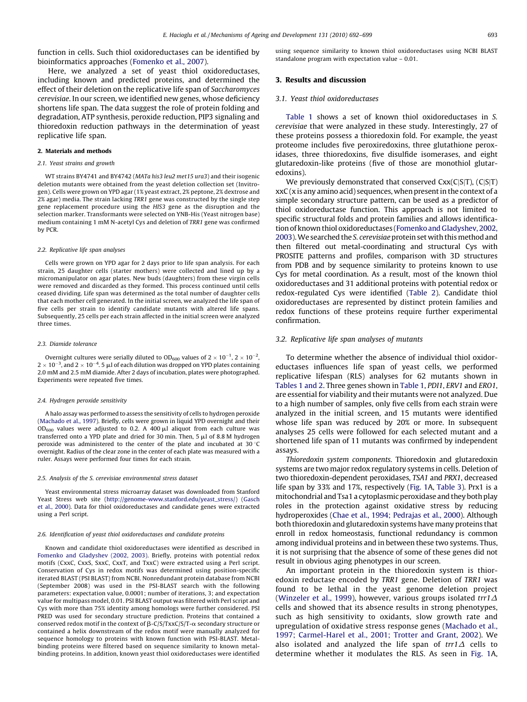function in cells. Such thiol oxidoreductases can be identified by bioinformatics approaches [\(Fomenko et al., 2007\)](#page-6-0).

Here, we analyzed a set of yeast thiol oxidoreductases, including known and predicted proteins, and determined the effect of their deletion on the replicative life span of Saccharomyces cerevisiae. In our screen, we identified new genes, whose deficiency shortens life span. The data suggest the role of protein folding and degradation, ATP synthesis, peroxide reduction, PIP3 signaling and thioredoxin reduction pathways in the determination of yeast replicative life span.

#### 2. Materials and methods

#### 2.1. Yeast strains and growth

WT strains BY4741 and BY4742 (MATa his3 leu2 met15 ura3) and their isogenic deletion mutants were obtained from the yeast deletion collection set (Invitrogen). Cells were grown on YPD agar (1% yeast extract, 2% peptone, 2% dextrose and 2% agar) media. The strain lacking TRR1 gene was constructed by the single step gene replacement procedure using the HIS3 gene as the disruption and the selection marker. Transformants were selected on YNB-His (Yeast nitrogen base) medium containing 1 mM N-acetyl Cys and deletion of TRR1 gene was confirmed by PCR.

#### 2.2. Replicative life span analyses

Cells were grown on YPD agar for 2 days prior to life span analysis. For each strain, 25 daughter cells (starter mothers) were collected and lined up by a micromanipulator on agar plates. New buds (daughters) from these virgin cells were removed and discarded as they formed. This process continued until cells ceased dividing. Life span was determined as the total number of daughter cells that each mother cell generated. In the initial screen, we analyzed the life span of five cells per strain to identify candidate mutants with altered life spans. Subsequently, 25 cells per each strain affected in the initial screen were analyzed three times.

### 2.3. Diamide tolerance

Overnight cultures were serially diluted to OD $_{600}$  values of 2  $\times$  10 $^{-1}$ , 2  $\times$  10 $^{-2}$ ,  $2\times 10^{-3}$ , and  $2\times 10^{-4}$ . 5  $\mu$ l of each dilution was dropped on YPD plates containing 2.0 mM and 2.5 mM diamide. After 2 days of incubation, plates were photographed. Experiments were repeated five times.

#### 2.4. Hydrogen peroxide sensitivity

A halo assay was performed to assess the sensitivity of cells to hydrogen peroxide [\(Machado et al., 1997\)](#page-6-0). Briefly, cells were grown in liquid YPD overnight and their  $OD_{600}$  values were adjusted to 0.2. A 400  $\mu$ l aliquot from each culture was transferred onto a YPD plate and dried for 30 min. Then, 5  $\mu$ l of 8.8 M hydrogen peroxide was administered to the center of the plate and incubated at 30 $\degree$ C overnight. Radius of the clear zone in the center of each plate was measured with a ruler. Assays were performed four times for each strain.

#### 2.5. Analysis of the S. cerevisiae environmental stress dataset

Yeast environmental stress microarray dataset was downloaded from Stanford Yeast Stress web site [\(http://genome-www.stanford.edu/yeast\\_stress/](http://genome-www.stanford.edu/yeast_stress/)) [\(Gasch](#page-6-0) [et al., 2000](#page-6-0)). Data for thiol oxidoreductases and candidate genes were extracted using a Perl script.

#### 2.6. Identification of yeast thiol oxidoreductases and candidate proteins

Known and candidate thiol oxidoreductases were identified as described in [Fomenko and Gladyshev \(2002, 2003\).](#page-6-0) Briefly, proteins with potential redox motifs (CxxC, CxxS, SxxC, CxxT, and TxxC) were extracted using a Perl script. Conservation of Cys in redox motifs was determined using position-specific iterated BLAST (PSI BLAST) from NCBI. Nonredundant protein database from NCBI (September 2008) was used in the PSI-BLAST search with the following parameters: expectation value, 0.0001; number of iterations, 3; and expectation value for multipass model, 0.01. PSI BLAST output was filtered with Perl script and Cys with more than 75% identity among homologs were further considered. PSI PRED was used for secondary structure prediction. Proteins that contained a conserved redox motif in the context of  $\beta$ -C/S/TxxC/S/T- $\alpha$  secondary structure or contained a helix downstream of the redox motif were manually analyzed for sequence homology to proteins with known function with PSI-BLAST. Metalbinding proteins were filtered based on sequence similarity to known metalbinding proteins. In addition, known yeast thiol oxidoreductases were identified using sequence similarity to known thiol oxidoreductases using NCBI BLAST standalone program with expectation value – 0.01.

## 3. Results and discussion

# 3.1. Yeast thiol oxidoreductases

[Table 1](#page-2-0) shows a set of known thiol oxidoreductases in S. cerevisiae that were analyzed in these study. Interestingly, 27 of these proteins possess a thioredoxin fold. For example, the yeast proteome includes five peroxiredoxins, three glutathione peroxidases, three thioredoxins, five disulfide isomerases, and eight glutaredoxin-like proteins (five of those are monothiol glutaredoxins).

We previously demonstrated that conserved  $Cxx(C|S|T)$ ,  $(C|S|T)$ xxC (x is any amino acid) sequences, when present in the context of a simple secondary structure pattern, can be used as a predictor of thiol oxidoreductase function. This approach is not limited to specific structural folds and protein families and allows identification of known thiol oxidoreductases [\(Fomenko and Gladyshev, 2002,](#page-6-0) [2003](#page-6-0)). We searched the S. cerevisiae protein set with this method and then filtered out metal-coordinating and structural Cys with PROSITE patterns and profiles, comparison with 3D structures from PDB and by sequence similarity to proteins known to use Cys for metal coordination. As a result, most of the known thiol oxidoreductases and 31 additional proteins with potential redox or redox-regulated Cys were identified ([Table 2\)](#page-2-0). Candidate thiol oxidoreductases are represented by distinct protein families and redox functions of these proteins require further experimental confirmation.

## 3.2. Replicative life span analyses of mutants

To determine whether the absence of individual thiol oxidoreductases influences life span of yeast cells, we performed replicative lifespan (RLS) analyses for 62 mutants shown in [Tables 1 and 2](#page-2-0). Three genes shown in [Table 1,](#page-2-0) PDI1, ERV1 and ERO1, are essential for viability and their mutants were not analyzed. Due to a high number of samples, only five cells from each strain were analyzed in the initial screen, and 15 mutants were identified whose life span was reduced by 20% or more. In subsequent analyses 25 cells were followed for each selected mutant and a shortened life span of 11 mutants was confirmed by independent assays.

Thioredoxin system components. Thioredoxin and glutaredoxin systems are two major redox regulatory systems in cells. Deletion of two thioredoxin-dependent peroxidases, TSA1 and PRX1, decreased life span by 33% and 17%, respectively [\(Fig. 1A](#page-3-0), [Table 3\)](#page-3-0). Prx1 is a mitochondrial and Tsa1 a cytoplasmic peroxidase and they both play roles in the protection against oxidative stress by reducing hydroperoxides [\(Chae et al., 1994; Pedrajas et al., 2000](#page-6-0)). Although both thioredoxin and glutaredoxin systems have many proteins that enroll in redox homeostasis, functional redundancy is common among individual proteins and in between these two systems. Thus, it is not surprising that the absence of some of these genes did not result in obvious aging phenotypes in our screen.

An important protein in the thioredoxin system is thioredoxin reductase encoded by TRR1 gene. Deletion of TRR1 was found to be lethal in the yeast genome deletion project ([Winzeler et al., 1999\)](#page-7-0), however, various groups isolated  $tr1\Delta$ cells and showed that its absence results in strong phenotypes, such as high sensitivity to oxidants, slow growth rate and upregulation of oxidative stress response genes [\(Machado et al.,](#page-6-0) [1997; Carmel-Harel et al., 2001; Trotter and Grant, 2002\)](#page-6-0). We also isolated and analyzed the life span of  $tr1\Delta$  cells to determine whether it modulates the RLS. As seen in [Fig. 1](#page-3-0)A,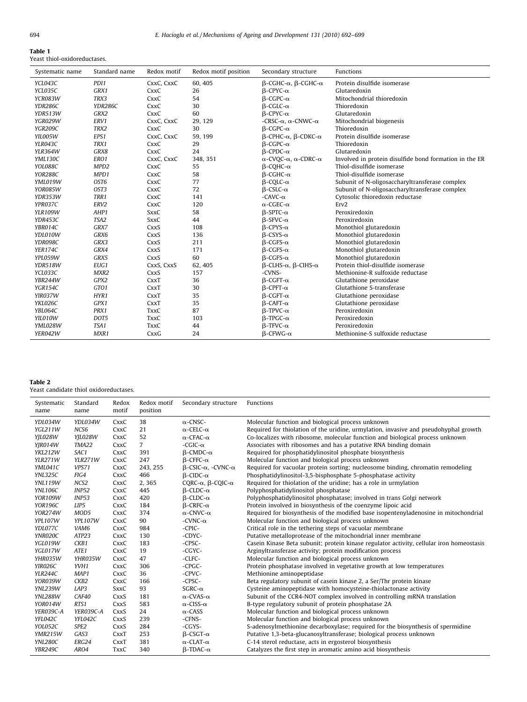<span id="page-2-0"></span>

| Table 1                      |
|------------------------------|
| Yeast thiol-oxidoreductases. |

| Systematic name | Standard name    | Redox motif | Redox motif position | Secondary structure                                 | Functions                                              |
|-----------------|------------------|-------------|----------------------|-----------------------------------------------------|--------------------------------------------------------|
| YCL043C         | PDI1             | CxxC, CxxC  | 60, 405              | $\beta$ -CGHC- $\alpha$ , $\beta$ -CGHC- $\alpha$   | Protein disulfide isomerase                            |
| YCL035C         | GRX1             | CxxC        | 26                   | $\beta$ -CPYC- $\alpha$                             | Glutaredoxin                                           |
| YCR083W         | TRX3             | CxxC        | 54                   | $B-CGPC-\alpha$                                     | Mitochondrial thioredoxin                              |
| YDR286C         | YDR286C          | CxxC        | 30                   | $\beta$ -CGLC- $\alpha$                             | Thioredoxin                                            |
| YDR513W         | GRX2             | CxxC        | 60                   | $\beta$ -CPYC- $\alpha$                             | Glutaredoxin                                           |
| <b>YGR029W</b>  | ERV1             | CxxC, CxxC  | 29, 129              | -CRSC- $\alpha$ , $\alpha$ -CNWC- $\alpha$          | Mitochondrial biogenesis                               |
| YGR209C         | TRX2             | CxxC        | 30                   | $\beta$ -CGPC- $\alpha$                             | Thioredoxin                                            |
| YIL005W         | EPS1             | CxxC, CxxC  | 59, 199              | $\beta$ -CPHC- $\alpha$ , $\beta$ -CDKC- $\alpha$   | Protein disulfide isomerase                            |
| YLR043C         | TRX1             | CxxC        | 29                   | $\beta$ -CGPC- $\alpha$                             | Thioredoxin                                            |
| <b>YLR364W</b>  | GRX8             | CxxC        | 24                   | $\beta$ -CPDC- $\alpha$                             | Glutaredoxin                                           |
| <b>YML130C</b>  | ERO1             | CxxC, CxxC  | 348, 351             | $\alpha$ -CVQC- $\alpha$ , $\alpha$ -CDRC- $\alpha$ | Involved in protein disulfide bond formation in the ER |
| YOL088C         | MPD <sub>2</sub> | CxxC        | 55                   | $\beta$ -COHC- $\alpha$                             | Thiol-disulfide isomerase                              |
| YOR288C         | MPD1             | CxxC        | 58                   | $\beta$ -CGHC- $\alpha$                             | Thiol-disulfide isomerase                              |
| YML019W         | OST6             | CxxC        | 77                   | $\beta$ -COLC- $\alpha$                             | Subunit of N-oligosaccharyltransferase complex         |
| YOR085W         | OST3             | CxxC        | 72                   | $\beta$ -CSLC- $\alpha$                             | Subunit of N-oligosaccharyltransferase complex         |
| YDR353W         | TRR1             | CxxC        | 141                  | -CAVC- $\alpha$                                     | Cytosolic thioredoxin reductase                        |
| YPR037C         | ERV <sub>2</sub> | CxxC        | 120                  | $\alpha$ -CGEC- $\alpha$                            | Erv <sub>2</sub>                                       |
| <b>YLR109W</b>  | AHP1             | <b>SxxC</b> | 58                   | $\beta$ -SPTC- $\alpha$                             | Peroxiredoxin                                          |
| YDR453C         | TSA2             | <b>SxxC</b> | 44                   | $\beta$ -SFVC- $\alpha$                             | Peroxiredoxin                                          |
| YBR014C         | GRX7             | CxxS        | 108                  | $\beta$ -CPYS- $\alpha$                             | Monothiol glutaredoxin                                 |
| YDL010W         | GRX6             | CxxS        | 136                  | $\beta$ -CSYS- $\alpha$                             | Monothiol glutaredoxin                                 |
| YDR098C         | GRX3             | CxxS        | 211                  | $\beta$ -CGFS- $\alpha$                             | Monothiol glutaredoxin                                 |
| <b>YER174C</b>  | GRX4             | CxxS        | 171                  | $\beta$ -CGFS- $\alpha$                             | Monothiol glutaredoxin                                 |
| YPL059W         | GRX5             | CxxS        | 60                   | $\beta$ -CGFS- $\alpha$                             | Monothiol glutaredoxin                                 |
| <b>YDR518W</b>  | EUG1             | CxxS, CxxS  | 62, 405              | $\beta$ -CLHS- $\alpha$ , $\beta$ -CIHS- $\alpha$   | Protein thiol-disulfide isomerase                      |
| YCL033C         | MXR2             | CxxS        | 157                  | -CVNS-                                              | Methionine-R sulfoxide reductase                       |
| YBR244W         | GPX2             | CxxT        | 36                   | $\beta$ -CGFT- $\alpha$                             | Glutathione peroxidase                                 |
| YGR154C         | GTO1             | CxxT        | 30                   | $\beta$ -CPFT- $\alpha$                             | Glutathione S-transferase                              |
| YIR037W         | HYR1             | CxxT        | 35                   | $\beta$ -CGFT- $\alpha$                             | Glutathione peroxidase                                 |
| YKL026C         | GPX1             | CxxT        | 35                   | $\beta$ -CAFT- $\alpha$                             | Glutathione peroxidase                                 |
| YBL064C         | PRX1             | <b>TxxC</b> | 87                   | $\beta$ -TPVC- $\alpha$                             | Peroxiredoxin                                          |
| YIL010W         | DOT5             | <b>TxxC</b> | 103                  | $\beta$ -TPGC- $\alpha$                             | Peroxiredoxin                                          |
| YML028W         | TSA1             | <b>TxxC</b> | 44                   | $\beta$ -TFVC- $\alpha$                             | Peroxiredoxin                                          |
| YER042W         | MXR1             | CxxG        | 24                   | $\beta$ -CFWG- $\alpha$                             | Methionine-S sulfoxide reductase                       |

# Table 2

Yeast candidate thiol oxidoreductases.

| Systematic<br>name | Standard<br>name | Redox<br>motif | Redox motif<br>position | Secondary structure                       | <b>Functions</b>                                                                         |
|--------------------|------------------|----------------|-------------------------|-------------------------------------------|------------------------------------------------------------------------------------------|
| YDL034W            | YDL034W          | CxxC           | 38                      | $\alpha$ -CNSC-                           | Molecular function and biological process unknown                                        |
| YGL211W            | NCS6             | CxxC           | 21                      | $\alpha$ -CELC- $\alpha$                  | Required for thiolation of the uridine, urmylation, invasive and pseudohyphal growth     |
| YJL028W            | YJL028W          | CxxC           | 52                      | $\alpha$ -CFAC- $\alpha$                  | Co-localizes with ribosome, molecular function and biological process unknown            |
| <b>YJR014W</b>     | TMA22            | CxxC           | $\overline{7}$          | -CGIC- $\alpha$                           | Associates with ribosomes and has a putative RNA binding domain                          |
| <b>YKL212W</b>     | SAC1             | CxxC           | 391                     | $\beta$ -CMDC- $\alpha$                   | Required for phosphatidylinositol phosphate biosynthesis                                 |
| <b>YLR271W</b>     | <b>YLR271W</b>   | CxxC           | 247                     | $\beta$ -CFFC- $\alpha$                   | Molecular function and biological process unknown                                        |
| YML041C            | VPS71            | CxxC           | 243, 255                | $\beta$ -CSIC- $\alpha$ , -CVNC- $\alpha$ | Required for vacuolar protein sorting; nucleosome binding, chromatin remodeling          |
| <b>YNL325C</b>     | FIG4             | CxxC           | 466                     | $B-CIDC-\alpha$                           | Phosphatidylinositol-3,5-bisphosphate 5-phosphatase activity                             |
| <b>YNL119W</b>     | NCS <sub>2</sub> | CxxC           | 2,365                   | CQRC- $\alpha$ , $\beta$ -CQIC- $\alpha$  | Required for thiolation of the uridine; has a role in urmylation                         |
| <b>YNL106C</b>     | <b>INP52</b>     | CxxC           | 445                     | $\beta$ -CLDC- $\alpha$                   | Polyphosphatidylinositol phosphatase                                                     |
| <b>YOR109W</b>     | <b>INP53</b>     | CxxC           | 420                     | $\beta$ -CLDC- $\alpha$                   | Polyphosphatidylinositol phosphatase; involved in trans Golgi network                    |
| <b>YOR196C</b>     | LIP5             | CxxC           | 184                     | $\beta$ -CRFC- $\alpha$                   | Protein involved in biosynthesis of the coenzyme lipoic acid                             |
| <b>YOR274W</b>     | MOD5             | CxxC           | 374                     | $\alpha$ -CNVC- $\alpha$                  | Required for biosynthesis of the modified base isopentenyladenosine in mitochondrial     |
| <b>YPL107W</b>     | YPL107W          | CxxC           | 90                      | $-CVNC-\alpha$                            | Molecular function and biological process unknown                                        |
| YDL077C            | VAM6             | CxxC           | 984                     | -CPIC-                                    | Critical role in the tethering steps of vacuolar membrane                                |
| YNR020C            | ATP23            | CxxC           | 130                     | -CDYC-                                    | Putative metalloprotease of the mitochondrial inner membrane                             |
| YGL019W            | CKB1             | CxxC           | 183                     | -CPSC-                                    | Casein Kinase Beta subunit; protein kinase regulator activity, cellular iron homeostasis |
| YGL017W            | ATE1             | CxxC           | 19                      | -CGYC-                                    | Arginyltransferase activity; protein modification process                                |
| YHR035W            | YHR035W          | CxxC           | 47                      | -CLFC-                                    | Molecular function and biological process unknown                                        |
| YIR026C            | YVH1             | CxxC           | 306                     | -CPGC-                                    | Protein phosphatase involved in vegetative growth at low temperatures                    |
| <b>YLR244C</b>     | MAP1             | CxxC           | 36                      | -CPVC-                                    | Methionine aminopeptidase                                                                |
| YOR039W            | CKB2             | CxxC           | 166                     | -CPSC-                                    | Beta regulatory subunit of casein kinase 2, a Ser/Thr protein kinase                     |
| YNL239W            | LAP3             | <b>SxxC</b>    | 93                      | SGRC- $\alpha$                            | Cysteine aminopeptidase with homocysteine-thiolactonase activity                         |
| <b>YNL288W</b>     | CAF40            | CxxS           | 181                     | $\alpha$ -CVAS- $\alpha$                  | Subunit of the CCR4-NOT complex involved in controlling mRNA translation                 |
| YOR014W            | RTS1             | CxxS           | 583                     | $\alpha$ -CISS- $\alpha$                  | B-type regulatory subunit of protein phosphatase 2A                                      |
| YER039C-A          | YER039C-A        | CxxS           | 24                      | $\alpha$ -CASS                            | Molecular function and biological process unknown                                        |
| YFL042C            | YFL042C          | CxxS           | 239                     | -CFNS-                                    | Molecular function and biological process unknown                                        |
| YOL052C            | SPE <sub>2</sub> | CxxS           | 284                     | -CGYS-                                    | S-adenosylmethionine decarboxylase; required for the biosynthesis of spermidine          |
| <b>YMR215W</b>     | GAS3             | CxxT           | 253                     | $\beta$ -CSGT- $\alpha$                   | Putative 1,3-beta-glucanosyltransferase; biological process unknown                      |
| YNL280C            | ERG24            | CxxT           | 381                     | $\alpha$ -CLAT- $\alpha$                  | C-14 sterol reductase, acts in ergosterol biosynthesis                                   |
| YBR249C            | ARO4             | TxxC           | 340                     | $\beta$ -TDAC- $\alpha$                   | Catalyzes the first step in aromatic amino acid biosynthesis                             |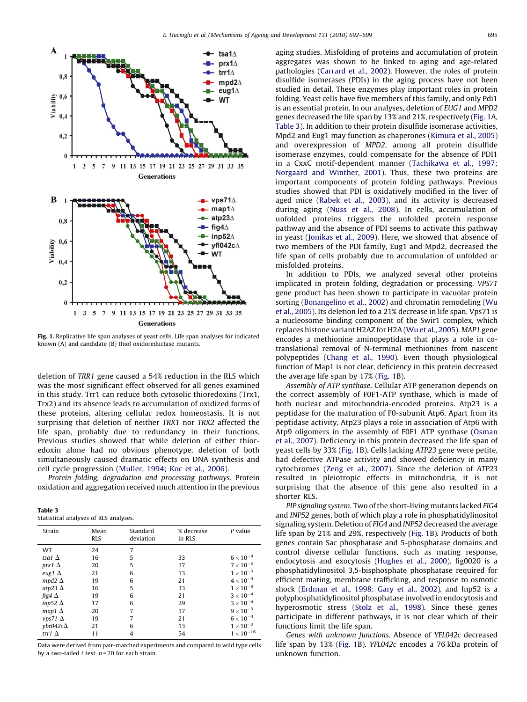<span id="page-3-0"></span>

Fig. 1. Replicative life span analyses of yeast cells. Life span analyses for indicated known (A) and candidate (B) thiol oxidoreductase mutants.

deletion of TRR1 gene caused a 54% reduction in the RLS which was the most significant effect observed for all genes examined in this study. Trr1 can reduce both cytosolic thioredoxins (Trx1, Trx2) and its absence leads to accumulation of oxidized forms of these proteins, altering cellular redox homeostasis. It is not surprising that deletion of neither TRX1 nor TRX2 affected the life span, probably due to redundancy in their functions. Previous studies showed that while deletion of either thioredoxin alone had no obvious phenotype, deletion of both simultaneously caused dramatic effects on DNA synthesis and cell cycle progression ([Muller, 1994; Koc et al., 2006](#page-6-0)).

Protein folding, degradation and processing pathways. Protein oxidation and aggregation received much attention in the previous

| Table 3                               |  |  |  |
|---------------------------------------|--|--|--|
| Statistical analyses of RLS analyses. |  |  |  |

| Strain                                                                                                                      | Mean<br><b>RLS</b>                           | Standard<br>deviation                | % decrease<br>in RLS                   | $P$ value                                                                                                                                          |
|-----------------------------------------------------------------------------------------------------------------------------|----------------------------------------------|--------------------------------------|----------------------------------------|----------------------------------------------------------------------------------------------------------------------------------------------------|
| WT<br>tsa1 $\Delta$<br>prx1 $\Delta$<br>eug1 $\Delta$<br>mpd2 $\Delta$<br>atp23 $\Delta$<br>fig4 $\Delta$<br>inp52 $\Delta$ | 24<br>16<br>20<br>21<br>19<br>16<br>19<br>17 | 7<br>5<br>5<br>6<br>6<br>5<br>6<br>6 | 33<br>17<br>13<br>21<br>33<br>21<br>29 | $6 \times 10^{-8}$<br>$7 \times 10^{-3}$<br>$1 \times 10^{-3}$<br>$4\times10^{-4}$<br>$1\times10^{-8}$<br>$3 \times 10^{-4}$<br>$3 \times 10^{-6}$ |
| map1 $\Delta$<br>$vps71 \Delta$<br>$vbr042c\Delta$<br>trr1 $\Delta$                                                         | 20<br>19<br>21<br>11                         | 7<br>7<br>6<br>4                     | 17<br>21<br>13<br>54                   | $9 \times 10^{-3}$<br>$6\times10^{-4}$<br>$1 \times 10^{-3}$<br>$1\times10^{-16}$                                                                  |

Data were derived from pair-matched experiments and compared to wild type cells by a two-tailed  $t$  test.  $n = 70$  for each strain.

aging studies. Misfolding of proteins and accumulation of protein aggregates was shown to be linked to aging and age-related pathologies [\(Carrard et al., 2002](#page-6-0)). However, the roles of protein disulfide isomerases (PDIs) in the aging process have not been studied in detail. These enzymes play important roles in protein folding. Yeast cells have five members of this family, and only Pdi1 is an essential protein. In our analyses, deletion of EUG1 and MPD2 genes decreased the life span by 13% and 21%, respectively (Fig. 1A, Table 3). In addition to their protein disulfide isomerase activities, Mpd2 and Eug1 may function as chaperones ([Kimura et al., 2005\)](#page-6-0) and overexpression of MPD2, among all protein disulfide isomerase enzymes, could compensate for the absence of PDI1 in a CxxC motif-dependent manner ([Tachikawa et al., 1997;](#page-7-0) [Norgaard and Winther, 2001](#page-7-0)). Thus, these two proteins are important components of protein folding pathways. Previous studies showed that PDI is oxidatively modified in the liver of aged mice ([Rabek et al., 2003](#page-6-0)), and its activity is decreased during aging ([Nuss et al., 2008](#page-6-0)). In cells, accumulation of unfolded proteins triggers the unfolded protein response pathway and the absence of PDI seems to activate this pathway in yeast ([Jonikas et al., 2009](#page-6-0)). Here, we showed that absence of two members of the PDI family, Eug1 and Mpd2, decreased the life span of cells probably due to accumulation of unfolded or misfolded proteins.

In addition to PDIs, we analyzed several other proteins implicated in protein folding, degradation or processing. VPS71 gene product has been shown to participate in vacuolar protein sorting ([Bonangelino et al., 2002\)](#page-6-0) and chromatin remodeling ([Wu](#page-7-0) [et al., 2005\)](#page-7-0). Its deletion led to a 21% decrease in life span. Vps71 is a nucleosome binding component of the Swir1 complex, which replaces histone variant H2AZ for H2A [\(Wu et al., 2005\)](#page-7-0). MAP1 gene encodes a methionine aminopeptidase that plays a role in cotranslational removal of N-terminal methionines from nascent polypeptides [\(Chang et al., 1990\)](#page-6-0). Even though physiological function of Map1 is not clear, deficiency in this protein decreased the average life span by 17% (Fig. 1B).

Assembly of ATP synthase. Cellular ATP generation depends on the correct assembly of F0F1-ATP synthase, which is made of both nuclear and mitochondria-encoded proteins. Atp23 is a peptidase for the maturation of F0-subunit Atp6. Apart from its peptidase activity, Atp23 plays a role in association of Atp6 with Atp9 oligomers in the assembly of F0F1 ATP synthase ([Osman](#page-6-0) [et al., 2007\)](#page-6-0). Deficiency in this protein decreased the life span of yeast cells by 33% (Fig. 1B). Cells lacking ATP23 gene were petite, had defective ATPase activity and showed deficiency in many cytochromes [\(Zeng et al., 2007](#page-7-0)). Since the deletion of ATP23 resulted in pleiotropic effects in mitochondria, it is not surprising that the absence of this gene also resulted in a shorter RLS.

PIP signaling system. Two of the short-living mutants lacked FIG4 and INP52 genes, both of which play a role in phosphatidylinositol signaling system. Deletion of FIG4 and INP52 decreased the average life span by 21% and 29%, respectively (Fig. 1B). Products of both genes contain Sac phosphatase and 5-phosphatase domains and control diverse cellular functions, such as mating response, endocytosis and exocytosis ([Hughes et al., 2000](#page-6-0)). fig0020 is a phosphatidylinositol 3,5-bisphosphate phosphatase required for efficient mating, membrane trafficking, and response to osmotic shock ([Erdman et al., 1998; Gary et al., 2002\)](#page-6-0), and Inp52 is a polyphosphatidylinositol phosphatase involved in endocytosis and hyperosmotic stress [\(Stolz et al., 1998](#page-7-0)). Since these genes participate in different pathways, it is not clear which of their functions limit the life span.

Genes with unknown functions. Absence of YFL042c decreased life span by 13% (Fig. 1B). YFL042c encodes a 76 kDa protein of unknown function.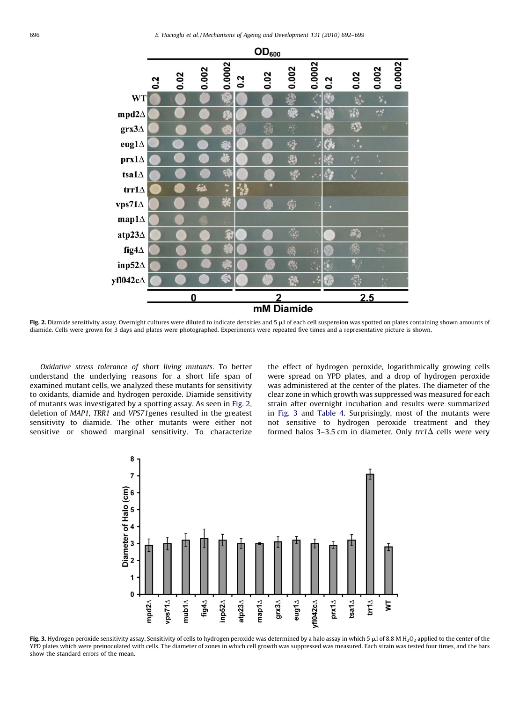<span id="page-4-0"></span>

Fig. 2. Diamide sensitivity assay. Overnight cultures were diluted to indicate densities and 5  $\mu$ l of each cell suspension was spotted on plates containing shown amounts of diamide. Cells were grown for 3 days and plates were photographed. Experiments were repeated five times and a representative picture is shown.

Oxidative stress tolerance of short living mutants. To better understand the underlying reasons for a short life span of examined mutant cells, we analyzed these mutants for sensitivity to oxidants, diamide and hydrogen peroxide. Diamide sensitivity of mutants was investigated by a spotting assay. As seen in Fig. 2, deletion of MAP1, TRR1 and VPS71genes resulted in the greatest sensitivity to diamide. The other mutants were either not sensitive or showed marginal sensitivity. To characterize the effect of hydrogen peroxide, logarithmically growing cells were spread on YPD plates, and a drop of hydrogen peroxide was administered at the center of the plates. The diameter of the clear zone in which growth was suppressed was measured for each strain after overnight incubation and results were summarized in Fig. 3 and [Table 4.](#page-6-0) Surprisingly, most of the mutants were not sensitive to hydrogen peroxide treatment and they formed halos 3-3.5 cm in diameter. Only  $trt\Delta$  cells were very



Fig. 3. Hydrogen peroxide sensitivity assay. Sensitivity of cells to hydrogen peroxide was determined by a halo assay in which 5  $\mu$ l of 8.8 M H<sub>2</sub>O<sub>2</sub> applied to the center of the YPD plates which were preinoculated with cells. The diameter of zones in which cell growth was suppressed was measured. Each strain was tested four times, and the bars show the standard errors of the mean.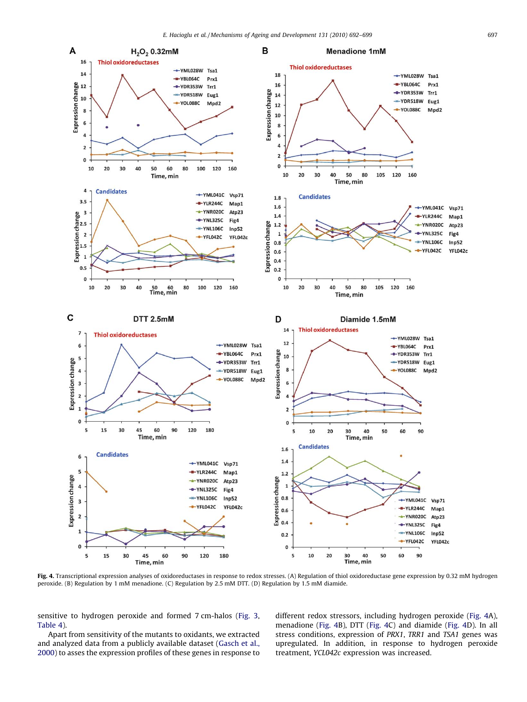

Fig. 4. Transcriptional expression analyses of oxidoreductases in response to redox stresses. (A) Regulation of thiol oxidoreductase gene expression by 0.32 mM hydrogen peroxide. (B) Regulation by 1 mM menadione. (C) Regulation by 2.5 mM DTT. (D) Regulation by 1.5 mM diamide.

sensitive to hydrogen peroxide and formed 7 cm-halos ([Fig. 3,](#page-4-0) [Table 4\)](#page-6-0).

Apart from sensitivity of the mutants to oxidants, we extracted and analyzed data from a publicly available dataset [\(Gasch et al.,](#page-6-0) [2000\)](#page-6-0) to asses the expression profiles of these genes in response to different redox stressors, including hydrogen peroxide (Fig. 4A), menadione (Fig. 4B), DTT (Fig. 4C) and diamide (Fig. 4D). In all stress conditions, expression of PRX1, TRR1 and TSA1 genes was upregulated. In addition, in response to hydrogen peroxide treatment, YCL042c expression was increased.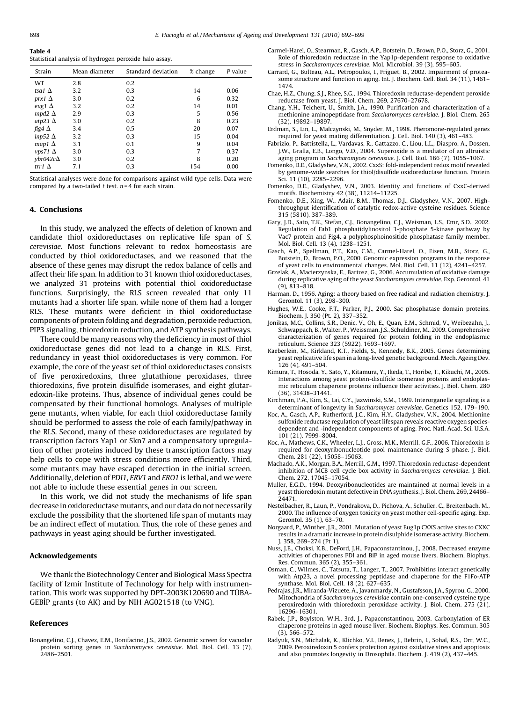<span id="page-6-0"></span>Table 4 Statistical analysis of hydrogen peroxide halo assay.

| Strain              | Mean diameter | Standard deviation | % change | P value |
|---------------------|---------------|--------------------|----------|---------|
| WT                  | 2.8           | 0.2                |          |         |
| tsa1 $\Delta$       | 3.2           | 0.3                | 14       | 0.06    |
| prx1 $\Delta$       | 3.0           | 0.2                | 6        | 0.32    |
| eug1 $\Delta$       | 3.2           | 0.2                | 14       | 0.01    |
| mpd2 $\Delta$       | 2.9           | 0.3                | 5        | 0.56    |
| atp23 $\Delta$      | 3.0           | 0.2                | 8        | 0.23    |
| fig4 $\Delta$       | 3.4           | 0.5                | 20       | 0.07    |
| inp52 $\Delta$      | 3.2           | 0.3                | 15       | 0.04    |
| map1 $\Delta$       | 3.1           | 0.1                | 9        | 0.04    |
| $vps71 \Delta$      | 3.0           | 0.3                | 7        | 0.37    |
| $v$ br042c $\Delta$ | 3.0           | 0.2                | 8        | 0.20    |
| trr1 $\Delta$       | 7.1           | 0.3                | 154      | 0.00    |

Statistical analyses were done for comparisons against wild type cells. Data were compared by a two-tailed  $t$  test.  $n = 4$  for each strain.

# 4. Conclusions

In this study, we analyzed the effects of deletion of known and candidate thiol oxidoreductases on replicative life span of S. cerevisiae. Most functions relevant to redox homeostasis are conducted by thiol oxidoreductases, and we reasoned that the absence of these genes may disrupt the redox balance of cells and affect their life span. In addition to 31 known thiol oxidoreductases, we analyzed 31 proteins with potential thiol oxidoreductase functions. Surprisingly, the RLS screen revealed that only 11 mutants had a shorter life span, while none of them had a longer RLS. These mutants were deficient in thiol oxidoreductase components of protein folding and degradation, peroxide reduction, PIP3 signaling, thioredoxin reduction, and ATP synthesis pathways.

There could be many reasons why the deficiency in most of thiol oxidoreductase genes did not lead to a change in RLS. First, redundancy in yeast thiol oxidoreductases is very common. For example, the core of the yeast set of thiol oxidoreductases consists of five peroxiredoxins, three glutathione peroxidases, three thioredoxins, five protein disulfide isomerases, and eight glutaredoxin-like proteins. Thus, absence of individual genes could be compensated by their functional homologs. Analyses of multiple gene mutants, when viable, for each thiol oxidoreductase family should be performed to assess the role of each family/pathway in the RLS. Second, many of these oxidoreductases are regulated by transcription factors Yap1 or Skn7 and a compensatory upregulation of other proteins induced by these transcription factors may help cells to cope with stress conditions more efficiently. Third, some mutants may have escaped detection in the initial screen. Additionally, deletion of PDI1, ERV1 and ERO1 is lethal, and we were not able to include these essential genes in our screen.

In this work, we did not study the mechanisms of life span decrease in oxidoreductase mutants, and our data do not necessarily exclude the possibility that the shortened life span of mutants may be an indirect effect of mutation. Thus, the role of these genes and pathways in yeast aging should be further investigated.

# Acknowledgements

We thank the Biotechnology Center and Biological Mass Spectra facility of Izmir Institute of Technology for help with instrumentation. This work was supported by DPT-2003K120690 and TUBA-GEBIP grants (to AK) and by NIH AG021518 (to VNG).

## References

Bonangelino, C.J., Chavez, E.M., Bonifacino, J.S., 2002. Genomic screen for vacuolar protein sorting genes in Saccharomyces cerevisiae. Mol. Biol. Cell. 13 (7), 2486–2501.

- Carmel-Harel, O., Stearman, R., Gasch, A.P., Botstein, D., Brown, P.O., Storz, G., 2001. Role of thioredoxin reductase in the Yap1p-dependent response to oxidative stress in Saccharomyces cerevisiae. Mol. Microbiol. 39 (3), 595–605.
- Carrard, G., Bulteau, A.L., Petropoulos, I., Friguet, B., 2002. Impairment of proteasome structure and function in aging. Int. J. Biochem. Cell. Biol. 34 (11), 1461– 1474.
- Chae, H.Z., Chung, S.J., Rhee, S.G., 1994. Thioredoxin reductase-dependent peroxide reductase from yeast. J. Biol. Chem. 269, 27670–27678.
- Chang, Y.H., Teichert, U., Smith, J.A., 1990. Purification and characterization of a methionine aminopeptidase from Saccharomyces cerevisiae. J. Biol. Chem. 265 (32), 19892–19897.
- Erdman, S., Lin, L., Malczynski, M., Snyder, M., 1998. Pheromone-regulated genes required for yeast mating differentiation. J. Cell. Biol. 140 (3), 461–483.
- Fabrizio, P., Battistella, L., Vardavas, R., Gattazzo, C., Liou, L.L., Diaspro, A., Dossen, J.W., Gralla, E.B., Longo, V.D., 2004. Superoxide is a mediator of an altruistic aging program in Saccharomyces cerevisiae. J. Cell. Biol. 166 (7), 1055–1067.
- Fomenko, D.E., Gladyshev, V.N., 2002. CxxS: fold-independent redox motif revealed by genome-wide searches for thiol/disulfide oxidoreductase function. Protein Sci. 11 (10), 2285–2296.
- Fomenko, D.E., Gladyshev, V.N., 2003. Identity and functions of CxxC-derived motifs. Biochemistry 42 (38), 11214–11225.
- Fomenko, D.E., Xing, W., Adair, B.M., Thomas, D.J., Gladyshev, V.N., 2007. Highthroughput identification of catalytic redox-active cysteine residues. Science 315 (5810), 387–389.
- Gary, J.D., Sato, T.K., Stefan, C.J., Bonangelino, C.J., Weisman, L.S., Emr, S.D., 2002. Regulation of Fab1 phosphatidylinositol 3-phosphate 5-kinase pathway by Vac7 protein and Fig4, a polyphosphoinositide phosphatase family member. Mol. Biol. Cell. 13 (4), 1238–1251.
- Gasch, A.P., Spellman, P.T., Kao, C.M., Carmel-Harel, O., Eisen, M.B., Storz, G., Botstein, D., Brown, P.O., 2000. Genomic expression programs in the response of yeast cells to environmental changes. Mol. Biol. Cell. 11 (12), 4241–4257.
- Grzelak, A., Macierzynska, E., Bartosz, G., 2006. Accumulation of oxidative damage during replicative aging of the yeast Saccharomyces cerevisiae. Exp. Gerontol. 41 (9), 813–818.
- Harman, D., 1956. Aging: a theory based on free radical and radiation chemistry. J. Gerontol. 11 (3), 298–300.
- Hughes, W.E., Cooke, F.T., Parker, P.J., 2000. Sac phosphatase domain proteins. Biochem. J. 350 (Pt. 2), 337–352.
- Jonikas, M.C., Collins, S.R., Denic, V., Oh, E., Quan, E.M., Schmid, V., Weibezahn, J., Schwappach, B., Walter, P., Weissman, J.S., Schuldiner, M., 2009. Comprehensive characterization of genes required for protein folding in the endoplasmic reticulum. Science 323 (5922), 1693–1697.
- Kaeberlein, M., Kirkland, K.T., Fields, S., Kennedy, B.K., 2005. Genes determining yeast replicative life span in a long-lived genetic background. Mech. Ageing Dev. 126 (4), 491–504.
- Kimura, T., Hosoda, Y., Sato, Y., Kitamura, Y., Ikeda, T., Horibe, T., Kikuchi, M., 2005. Interactions among yeast protein-disulfide isomerase proteins and endoplasmic reticulum chaperone proteins influence their activities. J. Biol. Chem. 280 (36), 31438–31441.
- Kirchman, P.A., Kim, S., Lai, C.Y., Jazwinski, S.M., 1999. Interorganelle signaling is a determinant of longevity in Saccharomyces cerevisiae. Genetics 152, 179–190.
- Koc, A., Gasch, A.P., Rutherford, J.C., Kim, H.Y., Gladyshev, V.N., 2004. Methionine sulfoxide reductase regulation of yeast lifespan reveals reactive oxygen speciesdependent and -independent components of aging. Proc. Natl. Acad. Sci. U.S.A. 101 (21), 7999–8004.
- Koc, A., Mathews, C.K., Wheeler, L.J., Gross, M.K., Merrill, G.F., 2006. Thioredoxin is required for deoxyribonucleotide pool maintenance during S phase. J. Biol. Chem. 281 (22), 15058–15063.
- Machado, A.K., Morgan, B.A., Merrill, G.M., 1997. Thioredoxin reductase-dependent inhibition of MCB cell cycle box activity in Saccharomyces cerevisiae. J. Biol. Chem. 272, 17045–17054.
- Muller, E.G.D., 1994. Deoxyribonucleotides are maintained at normal levels in a yeast thioredoxin mutant defective in DNA synthesis. J. Biol. Chem. 269, 24466– 24471.
- Nestelbacher, R., Laun, P., Vondrakova, D., Pichova, A., Schuller, C., Breitenbach, M., 2000. The influence of oxygen toxicity on yeast mother cell-specific aging. Exp. Gerontol. 35 (1), 63–70.
- Norgaard, P., Winther, J.R., 2001. Mutation of yeast Eug1p CXXS active sites to CXXC results in a dramatic increase in protein disulphide isomerase activity. Biochem. J. 358, 269–274 (Pt 1).
- Nuss, J.E., Choksi, K.B., DeFord, J.H., Papaconstantinou, J., 2008. Decreased enzyme activities of chaperones PDI and BiP in aged mouse livers. Biochem. Biophys. Res. Commun. 365 (2), 355–361.
- Osman, C., Wilmes, C., Tatsuta, T., Langer, T., 2007. Prohibitins interact genetically with Atp23, a novel processing peptidase and chaperone for the F1Fo-ATP synthase. Mol. Biol. Cell. 18 (2), 627–635.
- Pedrajas, J.R., Miranda-Vizuete, A., Javanmardy, N., Gustafsson, J.A., Spyrou, G., 2000. Mitochondria of Saccharomyces cerevisiae contain one-conserved cysteine type peroxiredoxin with thioredoxin peroxidase activity. J. Biol. Chem. 275 (21), 16296–16301.
- Rabek, J.P., Boylston, W.H., 3rd, J., Papaconstantinou, 2003. Carbonylation of ER chaperone proteins in aged mouse liver. Biochem. Biophys. Res. Commun. 305 (3), 566–572.
- Radyuk, S.N., Michalak, K., Klichko, V.I., Benes, J., Rebrin, I., Sohal, R.S., Orr, W.C., 2009. Peroxiredoxin 5 confers protection against oxidative stress and apoptosis and also promotes longevity in Drosophila. Biochem. J. 419 (2), 437–445.